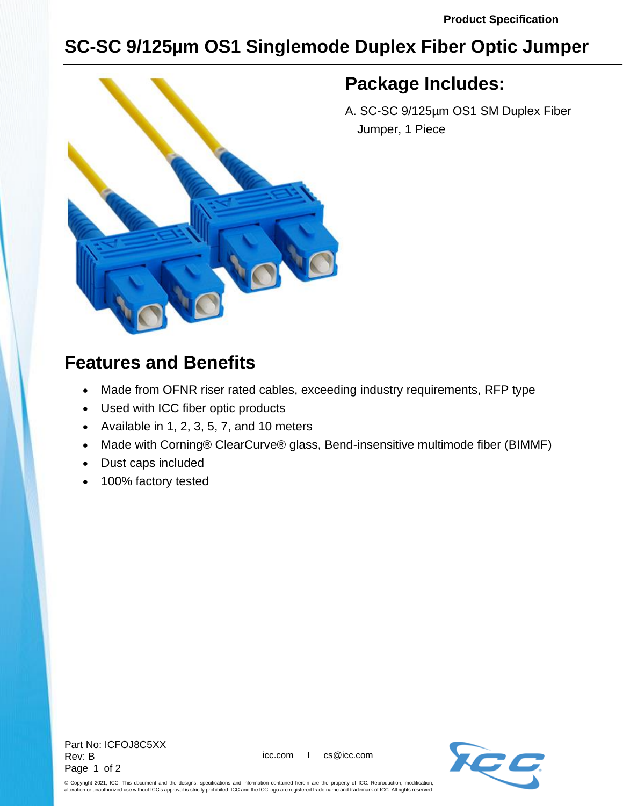## **SC-SC 9/125µm OS1 Singlemode Duplex Fiber Optic Jumper**



## **Package Includes:**

A. SC-SC 9/125µm OS1 SM Duplex Fiber Jumper, 1 Piece

## **Features and Benefits**

- Made from OFNR riser rated cables, exceeding industry requirements, RFP type
- Used with ICC fiber optic products
- Available in 1, 2, 3, 5, 7, and 10 meters
- Made with Corning® ClearCurve® glass, Bend-insensitive multimode fiber (BIMMF)
- Dust caps included
- 100% factory tested



© Copyright 2021, ICC. This document and the designs, specifications and information contained herein are the property of ICC. Reproduction, modification, alteration or unauthorized use without ICC's approval is strictly prohibited. ICC and the ICC logo are registered trade name and trademark of ICC. All rights reserved.